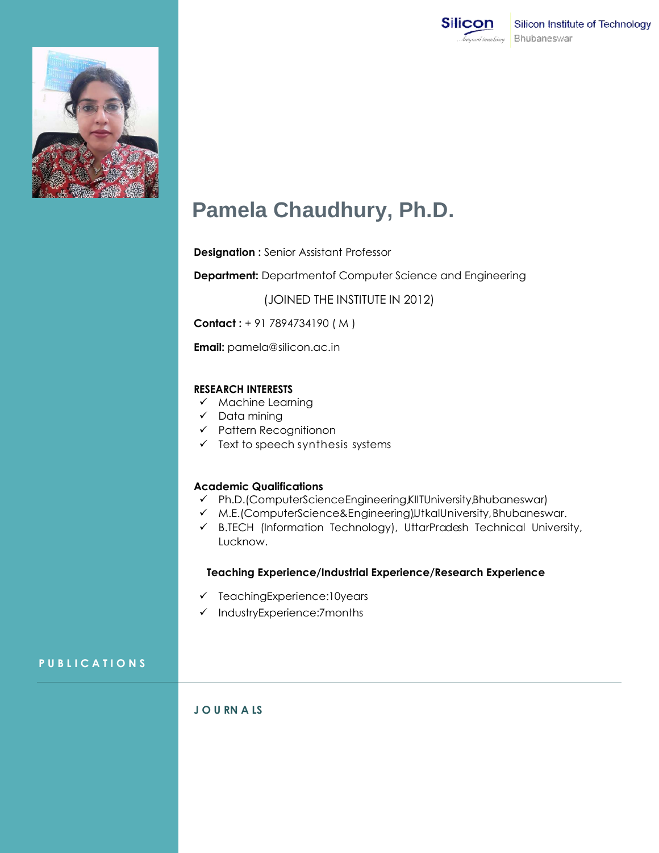



# **Pamela Chaudhury, Ph.D.**

**Designation :** Senior Assistant Professor

**Department:** Departmentof Computer Science and Engineering

(JOINED THE INSTITUTE IN 2012)

**Contact :** + 91 7894734190 ( M )

**Email:** [pamela@silicon.ac.in](mailto:pamela@silicon.ac.in)

#### **RESEARCH INTERESTS**

- $\times$  Machine Learning
- $\checkmark$  Data mining
- $\checkmark$  Pattern Recognitionon
- $\checkmark$  Text to speech synthesis systems

### **Academic Qualifications**

- Ph.D.(ComputerScienceEngineering,KIITUniversity,Bhubaneswar)
- M.E.(ComputerScience&Engineering),UtkalUniversity,Bhubaneswar.
- B.TECH (Information Technology), UttarPradesh Technical University, Lucknow.

#### **Teaching Experience/Industrial Experience/Research Experience**

- $\checkmark$  TeachingExperience:10years
- $\checkmark$  IndustryExperience:7months

## **P U B L I C A T I O N S**

## **J O U RN A LS**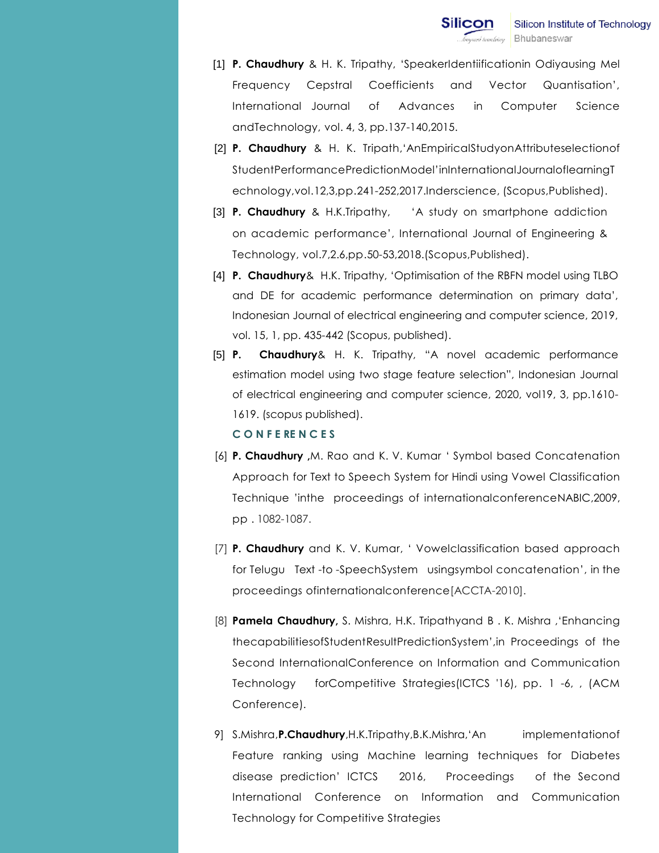- [1] **P. Chaudhury** & H. K. Tripathy, "SpeakerIdentiificationin Odiyausing Mel Frequency Cepstral Coefficients and Vector Quantisation", International Journal of Advances in Computer Science andTechnology, vol. 4, 3, pp.137-140,2015.
- [2] **P. Chaudhury** & H. K. Tripath,"AnEmpiricalStudyonAttributeselectionof StudentPerformancePredictionModel"inInternationalJournaloflearningT echnology,vol.12,3,pp.241-252,2017.Inderscience, (Scopus,Published).
- [3] **P. Chaudhury** & H.K.Tripathy, "A study on smartphone addiction on academic performance", International Journal of Engineering & Technology, vol.7,2.6,pp.50-53,2018.(Scopus,Published).
- [4] **P. Chaudhury**& H.K. Tripathy, "Optimisation of the RBFN model using TLBO and DE for academic performance determination on primary data", Indonesian Journal of electrical engineering and computer science, 2019, vol. 15, 1, pp. 435-442 (Scopus, published).
- [5] **P. Chaudhury**& H. K. Tripathy, "A novel academic performance estimation model using two stage feature selection", Indonesian Journal of electrical engineering and computer science, 2020, vol19, 3, pp.1610- 1619. (scopus published). **C O N F E RE N C E S**
- [6] **P. Chaudhury ,**M. Rao and K. V. Kumar " Symbol based Concatenation Approach for Text to Speech System for Hindi using Vowel Classification Technique "inthe proceedings of internationalconferenceNABIC,2009, pp . 1082-1087.
- [7] **P. Chaudhury** and K. V. Kumar, " Vowelclassification based approach for Telugu Text -to -SpeechSystem usingsymbol concatenation", in the proceedings ofinternationalconference[ACCTA-2010].
- [8] **Pamela Chaudhury,** S. Mishra, H.K. Tripathyand B . K. Mishra ,"Enhancing thecapabilitiesofStudentResultPredictionSystem",in Proceedings of the Second InternationalConference on Information and Communication Technology forCompetitive Strategies(ICTCS '16), pp. 1 -6, , (ACM Conference).
- 9] S.Mishra,**P.Chaudhury**,H.K.Tripathy,B.K.Mishra,"An implementationof Feature ranking using Machine learning techniques for Diabetes disease prediction" ICTCS 2016, Proceedings of the Second International Conference on Information and Communication Technology for Competitive Strategies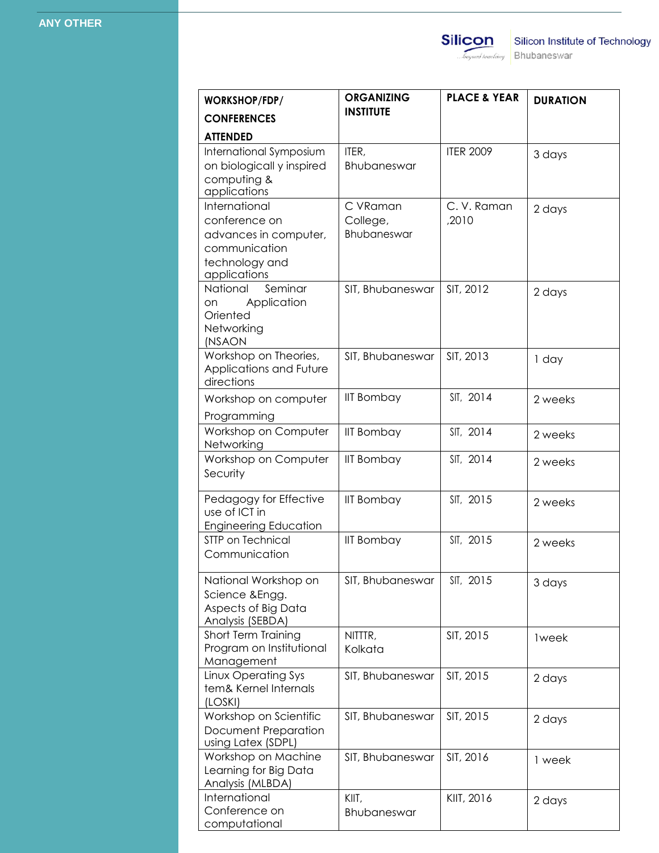| WORKSHOP/FDP/                                                                                              | <b>ORGANIZING</b><br><b>INSTITUTE</b> | <b>PLACE &amp; YEAR</b> | <b>DURATION</b> |
|------------------------------------------------------------------------------------------------------------|---------------------------------------|-------------------------|-----------------|
| <b>CONFERENCES</b>                                                                                         |                                       |                         |                 |
| <b>ATTENDED</b>                                                                                            |                                       |                         |                 |
| International Symposium<br>on biologicall y inspired<br>computing &<br>applications                        | ITER,<br>Bhubaneswar                  | <b>ITER 2009</b>        | 3 days          |
| International<br>conference on<br>advances in computer,<br>communication<br>technology and<br>applications | C VRaman<br>College,<br>Bhubaneswar   | C.V. Raman<br>,2010     | 2 days          |
| Seminar<br>National<br>Application<br>on.<br>Oriented<br>Networking<br>(NSAON                              | SIT, Bhubaneswar                      | SIT, 2012               | 2 days          |
| Workshop on Theories,<br>Applications and Future<br>directions                                             | SIT, Bhubaneswar                      | SIT, 2013               | 1 day           |
| Workshop on computer<br>Programming                                                                        | <b>IIT Bombay</b>                     | SIT, 2014               | 2 weeks         |
| Workshop on Computer<br>Networking                                                                         | <b>IIT Bombay</b>                     | SIT, 2014               | 2 weeks         |
| Workshop on Computer<br>Security                                                                           | <b>IIT Bombay</b>                     | SIT, 2014               | 2 weeks         |
| Pedagogy for Effective<br>use of ICT in<br><b>Engineering Education</b>                                    | <b>IIT Bombay</b>                     | SIT, 2015               | 2 weeks         |
| STTP on Technical<br>Communication                                                                         | <b>IIT Bombay</b>                     | SIT, 2015               | 2 weeks         |
| National Workshop on<br>Science & Engg.<br>Aspects of Big Data<br>Analysis (SEBDA)                         | SIT, Bhubaneswar                      | SIT, 2015               | 3 days          |
| Short Term Training<br>Program on Institutional<br>Management                                              | NITTTR,<br>Kolkata                    | SIT, 2015               | <b>lweek</b>    |
| Linux Operating Sys<br>tem& Kernel Internals<br>(LOSKI)                                                    | SIT, Bhubaneswar                      | SIT, 2015               | 2 days          |
| Workshop on Scientific<br><b>Document Preparation</b><br>using Latex (SDPL)                                | SIT, Bhubaneswar                      | SIT, 2015               | 2 days          |
| Workshop on Machine<br>Learning for Big Data<br>Analysis (MLBDA)                                           | SIT, Bhubaneswar                      | SIT, 2016               | 1 week          |
| International<br>Conference on<br>computational                                                            | KIIT,<br>Bhubaneswar                  | KIIT, 2016              | 2 days          |